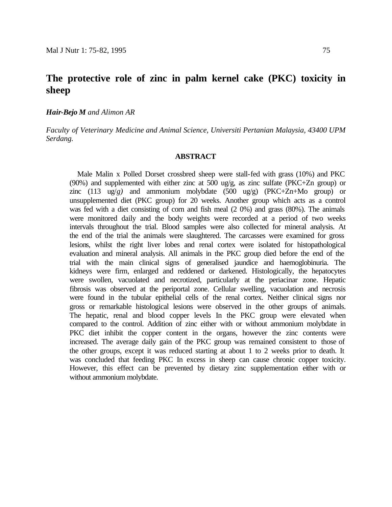# **The protective role of zinc in palm kernel cake (PKC) toxicity in sheep**

#### *Hair-Bejo M and Alimon AR*

*Faculty of Veterinary Medicine and Animal Science, Universiti Pertanian Malaysia, 43400 UPM Serdang.*

#### **ABSTRACT**

Male Malin x Polled Dorset crossbred sheep were stall-fed with grass (10%) and PKC (90%) and supplemented with either zinc at 500 ug/g, as zinc sulfate (PKC+Zn group) or zinc (113 ug/*g)* and ammonium molybdate (500 ug/g) (PKC+Zn+Mo group) or unsupplemented diet (PKC group) for 20 weeks. Another group which acts as a control was fed with a diet consisting of corn and fish meal (2 0%) and grass (80%). The animals were monitored daily and the body weights were recorded at a period of two weeks intervals throughout the trial. Blood samples were also collected for mineral analysis. At the end of the trial the animals were slaughtered. The carcasses were examined for gross lesions, whilst the right liver lobes and renal cortex were isolated for histopathological evaluation and mineral analysis. All animals in the PKC group died before the end of the trial with the main clinical signs of generalised jaundice and haemoglobinuria. The kidneys were firm, enlarged and reddened or darkened. Histologically, the hepatocytes were swollen, vacuolated and necrotized, particularly at the periacinar zone. Hepatic fibrosis was observed at the periportal zone. Cellular swelling, vacuolation and necrosis were found in the tubular epithelial cells of the renal cortex. Neither clinical signs nor gross or remarkable histological lesions were observed in the other groups of animals. The hepatic, renal and blood copper levels In the PKC group were elevated when compared to the control. Addition of zinc either with or without ammonium molybdate in PKC diet inhibit the copper content in the organs, however the zinc contents were increased. The average daily gain of the PKC group was remained consistent to those of the other groups, except it was reduced starting at about 1 to 2 weeks prior to death. It was concluded that feeding PKC In excess in sheep can cause chronic copper toxicity. However, this effect can be prevented by dietary zinc supplementation either with or without ammonium molybdate.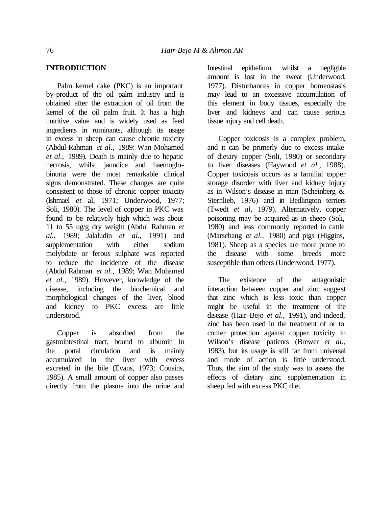## **INTRODUCTION**

Palm kernel cake (PKC) is an important by-product of the oil palm industry and is obtained after the extraction of oil from the kernel of the oil palm fruit. It has a high nutritive value and is widely used as feed ingredients in ruminants, although its usage in excess in sheep can cause chronic toxicity (Abdul Rahman *et al.,* 1989: Wan Mohamed *et al.,* 1989). Death is mainly due to hepatic necrosis, whilst jaundice and haemoglobinuria were the most remarkable clinical signs demonstrated. These changes are quite consistent to those of chronic copper toxicity (lshmael *et* al, 1971; Underwood, 1977; Soli, 1980). The level of copper in PKC was found to be relatively high which was about 11 to 55 ug/g dry weight (Abdul Rahman *et al.,* 1989; Jalaludin *et al.,* 1991) and supplementation with either sodium molybdate or ferous sulphate was reported to reduce the incidence of the disease (Abdul Rahman *et al.,* 1989; Wan Mohamed *et al.,* 1989). However, knowledge of the disease, including the biochemical and morphological changes of the liver, blood and kidney to PKC excess are little understood.

Copper is absorbed from the gastrointestinal tract, bound to albumin In the portal circulation and is mainly accumulated in the liver with excess excreted in the bile (Evans, 1973; Cousins, 1985). A small amount of copper also passes directly from the plasma into the urine and Intestinal epithelium, whilst a negligble amount is lost in the sweat (Underwood, 1977). Disturbances in copper homeostasis may lead to an excessive accumulation of this element in body tissues, especially the liver and kidneys and can cause serious tissue injury and cell death.

Copper toxicosis is a complex problem, and it can be primerly due to excess intake of dietary copper (Soli, 1980) or secondary to liver diseases (Haywood *et al.,* 1988). Copper toxicosis occurs as a familial copper storage disorder with liver and kidney injury as in Wilson's disease in man (Scheinberg & Sternlieb, 1976) and in Bedlington terriers (Twedt *et al,* 1979). Alternatively, copper poisoning may be acquired as in sheep (Soli, 1980) and less commonly reported in cattle (Marschang *et al.,* 1980) and pigs (Higgins, 1981). Sheep as a species are more prone to the disease with some breeds more susceptible than others (Underwood, 1977).

The existence of the antagonistic interaction between copper and zinc suggest that zinc which is less toxic than copper might be useful in the treatment of the disease (Hair-Bejo *et al.,* 1991), and indeed, zinc has been used in the treatment of or to confer protection against copper toxicity in Wilson's disease patients (Brewer *et al.,* 1983), but its usage is still far from universal and mode of action is little understood. Thus, the aim of the study was to assess the effects of dietary zinc supplementation in sheep fed with excess PKC diet.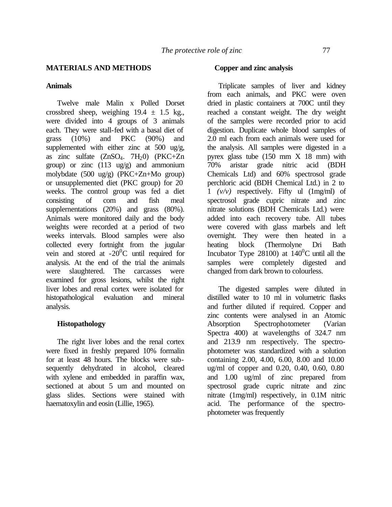# **MATERIALS AND METHODS**

## **Animals**

Twelve male Malin x Polled Dorset crossbred sheep, weighing  $19.4 \pm 1.5$  kg., were divided into 4 groups of 3 animals each. They were stall-fed with a basal diet of grass (10%) and PKC (90%) and supplemented with either zinc at 500 ug/g, as zinc sulfate  $(ZnSO<sub>4</sub>, 7H<sub>2</sub>O)$   $(PKC+Zn$ group) or zinc (113 ug/g) and ammonium molybdate (500 ug/g) (PKC+Zn+Mo group) or unsupplemented diet (PKC group) for 20 weeks. The control group was fed a diet consisting of corn and fish meal supplernentations (20%) and grass (80%). Animals were monitored daily and the body weights were recorded at a period of two weeks intervals. Blood samples were also collected every fortnight from the jugular vein and stored at  $-20^{\circ}$ C until required for analysis. At the end of the trial the animals were slaughtered. The carcasses were examined for gross lesions, whilst the right liver lobes and renal cortex were isolated for histopathological evaluation and mineral analysis.

# **Histopathology**

The right liver lobes and the renal cortex were fixed in freshly prepared 10% formalin for at least 48 hours. The blocks were subsequently dehydrated in alcohol, cleared with xylene and embedded in paraffin wax, sectioned at about 5 um and mounted on glass slides. Sections were stained with haematoxylin and eosin (Lillie, 1965).

## **Copper and zinc analysis**

Triplicate samples of liver and kidney from each animals, and PKC were oven dried in plastic containers at 700C until they reached a constant weight. The dry weight of the samples were recorded prior to acid digestion. Duplicate whole blood samples of 2.0 ml each from each animals were used for the analysis. All samples were digested in a pyrex glass tube (150 mm X 18 mm) with 70% aristar grade nitric acid (BDH Chemicals Ltd) and 60% spectrosol grade perchloric acid (BDH Chemical Ltd.) in 2 to 1 *(v/v)* respectively. Fifty ul (1mg/ml) of spectrosol grade cupric nitrate and zinc nitrate solutions (BDH Chemicals Ltd.) were added into each recovery tube. All tubes were covered with glass marbels and left overnight. They were then heated in a heating block (Thermolyne Dri Bath Incubator Type 28100) at  $140^{\circ}$ C until all the samples were completely digested and changed from dark brown to colourless.

The digested samples were diluted in distilled water to 10 ml in volumetric flasks and further diluted if required. Copper and zinc contents were analysed in an Atomic Absorption Spectrophotometer (Varian Spectra 400) at wavelengths of 324.7 nm and 213.9 nm respectively. The spectrophotometer was standardized with a solution containing 2.00, 4.00, 6.00, 8.00 and 10.00 ug/ml of copper and 0.20, 0.40, 0.60, 0.80 and 1.00 ug/ml of zinc prepared from spectrosol grade cupric nitrate and zinc nitrate (1mg/ml) respectively, in 0.1M nitric acid. The performance of the spectrophotometer was frequently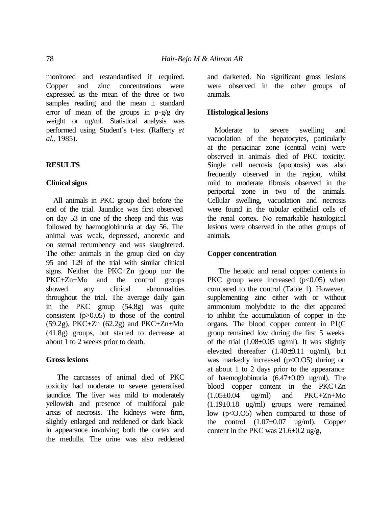monitored and restandardised if required. Copper and zinc concentrations were expressed as the mean of the three or two samples reading and the mean  $\pm$  standard error of mean of the groups in p-g/g dry weight or ug/ml. Statistical analysis was performed using Student's t-test (Rafferty *et al.,* 1985).

# **RESULTS**

## **Clinical signs**

All animals in PKC group died before the end of the trial. Jaundice was first observed on day 53 in one of the sheep and this was followed by haemoglobinuria at day 56. The animal was weak, depressed, anorexic and on sternal recumbency and was slaughtered. The other animals in the group died on day 95 and 129 of the trial with similar clinical signs. Neither the PKC+Zn group nor the PKC+Zn+Mo and the control groups showed any clinical abnormalities throughout the trial. The average daily gain in the PKC group (54.8g) was quite consistent (p>0.05) to those of the control  $(59.2g)$ , PKC+Zn  $(62.2g)$  and PKC+Zn+Mo (41.8g) groups, but started to decrease at about 1 to 2 weeks prior to death.

## **Gross lesions**

The carcasses of animal died of PKC toxicity had moderate to severe generalised jaundice. The liver was mild to moderately yellowish and presence of multifocal pale areas of necrosis. The kidneys were firm, slightly enlarged and reddened or dark black in appearance involving both the cortex and the medulla. The urine was also reddened

and darkened. No significant gross lesions were observed in the other groups of animals.

#### **Histological lesions**

Moderate to severe swelling and vacuolation of the hepatocytes, particularly at the periacinar zone (central vein) were observed in animals died of PKC toxicity. Single cell necrosis (apoptosis) was also frequently observed in the region, whilst mild to moderate fibrosis observed in the periportal zone in two of the animals. Cellular swelling, vacuolation and necrosis were found in the tubular epithelial cells of the renal cortex. No remarkable histological lesions were observed in the other groups of animals.

#### **Copper concentration**

The hepatic and renal copper contents in PKC group were increased  $(p<0.05)$  when compared to the control (Table 1). However, supplementing zinc either with or without ammonium molybdate to the diet appeared to inhibit the accumulation of copper in the organs. The blood copper content in P1(C group remained low during the first 5 weeks of the trial  $(1.08\pm0.05 \text{ ug/ml})$ . It was slightiv elevated thereafter  $(1.40\pm0.11 \text{ ug/ml})$ , but was markedly increased  $(p<0.05)$  during or at about 1 to 2 days prior to the appearance of haemoglobinuria (6.47±0.09 ug/ml). The blood copper content in the PKC+Zn  $(1.05\pm0.04 \text{ ug/ml})$  and  $PKC+Zn+Mo$ (1.19±0.18 ug/ml) groups were remained low  $(p<0.05)$  when compared to those of the control  $(1.07\pm0.07$  ug/ml). Copper content in the PKC was  $21.6 \pm 0.2$  ug/g,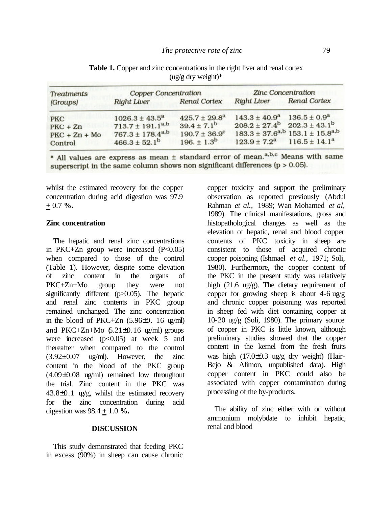| <b>Treatments</b><br>(Groups) | <b>Copper Concentration</b> |                          | Zinc Concentration                                |                                                        |
|-------------------------------|-----------------------------|--------------------------|---------------------------------------------------|--------------------------------------------------------|
|                               | <b>Right Liver</b>          | <b>Renal Cortex</b>      | <b>Right Liver</b>                                | <b>Renal Cortex</b>                                    |
| <b>PKC</b>                    | $1026.3 \pm 43.5^a$         | $425.7 \pm 29.8^a$       | $143.3 \pm 40.9^a$                                | $136.5 \pm 0.9^a$                                      |
| $PKC + Zn$                    | $713.7 \pm 191.1^{a,b}$     | $39.4 \pm 7.1^{b}$       | $208.2 \pm 27.4^{\circ}$ $202.3 \pm 43.1^{\circ}$ |                                                        |
| $PKC + Zn + Mo$               | $767.3 \pm 178.4^{a,b}$     | $190.7 \pm 36.9^{\circ}$ |                                                   | $183.3 \pm 37.6^{a,b}$ 153.1 $\pm$ 15.8 <sup>a,b</sup> |
| Control                       | $466.3 \pm 52.1^b$          | $196. \pm 1.3^{b}$       | $123.9 \pm 7.2^a$ 116.5 ± 14.1 <sup>a</sup>       |                                                        |

**Table 1.** Copper and zinc concentrations in the right liver and renal cortex  $(ug/g dry weight)*$ 

\* All values are express as mean ± standard error of mean.<sup>a,b,c</sup> Means with same superscript in the same column shows non significant differences ( $p > 0.05$ ).

whilst the estimated recovery for the copper concentration during acid digestion was 97.9 **+** 0.7 **%.**

#### **Zinc concentration**

The hepatic and renal zinc concentrations in PKC+Zn group were increased  $(P<0.05)$ when compared to those of the control (Table 1). However, despite some elevation of zinc content in the organs of PKC+Zn+Mo group they were not significantly different (p>0.05). The hepatic and renal zinc contents in PKC group remained unchanged. The zinc concentration in the blood of PKC+Zn  $(5.96\pm0. 16 \text{ kg/ml})$ and PKC+Zn+Mo  $6.21\pm0.16$  ug/ml) groups were increased  $(p<0.05)$  at week 5 and thereafter when compared to the control  $(3.92\pm0.07 \text{ ug/ml})$ . However, the zinc content in the blood of the PKC group (4.09±0.08 ug/ml) remained low throughout the trial. Zinc content in the PKC was  $43.8\pm0.1$  ug/g, whilst the estimated recovery for the zinc concentration during acid digestion was 98.4 **+** 1.0 **%.**

#### **DISCUSSION**

This study demonstrated that feeding PKC in excess (90%) in sheep can cause chronic

copper toxicity and support the preliminary observation as reported previously (Abdul Rahman *et al.,* 1989; Wan Mohamed *et al,*  1989). The clinical manifestations, gross and histopathological changes as well as the elevation of hepatic, renal and blood copper contents of PKC toxicity in sheep are consistent to those of acquired chronic copper poisoning (Ishmael *et al.,* 1971; Soli, 1980). Furthermore, the copper content of the PKC in the present study was relatively high (21.6 ug/g). The dietary requirement of copper for growing sheep is about  $4-6$  ug/g and chronic copper poisoning was reported in sheep fed with diet containing copper at 10-20 ug/g (Soli, 1980). The primary source of copper in PKC is little known, although preliminary studies showed that the copper content in the kernel from the fresh fruits was high (17.0±0.3 ug/g dry weight) (Hair-Bejo & Alimon, unpublished data). High copper content in PKC could also be associated with copper contamination during processing of the by-products.

The ability of zinc either with or without ammonium molybdate to inhibit hepatic, renal and blood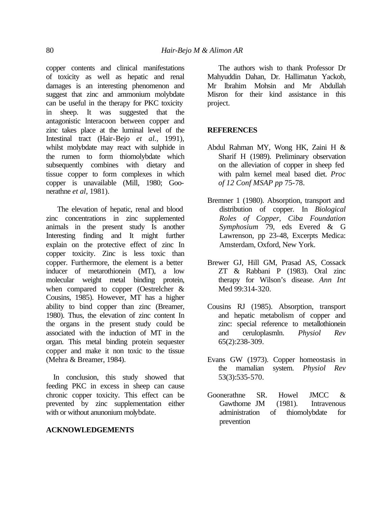copper contents and clinical manifestations of toxicity as well as hepatic and renal damages is an interesting phenomenon and suggest that zinc and ammonium molybdate can be useful in the therapy for PKC toxicity in sheep. It was suggested that the antagonistic lnteracoon between copper and zinc takes place at the luminal level of the Intestinal tract (Hair-Bejo *et al.,* 1991), whilst molybdate may react with sulphide in the rumen to form thiomolybdate which subsequently combines with dietary and tissue copper to form complexes in which copper is unavailable (Mill, 1980; Goonerathne *et al,* 1981).

The elevation of hepatic, renal and blood zinc concentrations in zinc supplemented animals in the present study Is another Interesting finding and It might further explain on the protective effect of zinc In copper toxicity. Zinc is less toxic than copper. Furthermore, the element is a better inducer of metarothionein (MT), a low molecular weight metal binding protein, when compared to copper (Oestrelcher & Cousins, 1985). However, MT has a higher ability to bind copper than zinc (Breamer, 1980). Thus, the elevation of zinc content In the organs in the present study could be associated with the induction of MT in the organ. This metal binding protein sequester copper and make it non toxic to the tissue (Mehra & Breamer, 1984).

In conclusion, this study showed that feeding PKC in excess in sheep can cause chronic copper toxicity. This effect can be prevented by zinc supplementation either with or without anunonium molybdate.

## **ACKNOWLEDGEMENTS**

The authors wish to thank Professor Dr Mahyuddin Dahan, Dr. Hallimatun Yackob, Mr lbrahim Mohsin and Mr Abdullah Misron for their kind assistance in this project.

## **REFERENCES**

- Abdul Rahman MY, Wong HK, Zaini H & Sharif H (1989). Preliminary observation on the alleviation of copper in sheep fed with palm kernel meal based diet. *Proc of 12 Conf MSAP pp* 75-78.
- Bremner 1 (1980). Absorption, transport and distribution of copper. In *Biological Roles of Copper, Ciba Foundation Symphosium* 79, eds Evered & G Lawrenson, pp 23-48, Excerpts Medica: Amsterdam, Oxford, New York.
- Brewer GJ, Hill GM, Prasad AS, Cossack ZT & Rabbani P (1983). Oral zinc therapy for Wilson's disease. *Ann Int* Med 99:314-320.
- Cousins RJ (1985). Absorption, transport and hepatic metabolism of copper and zinc: special reference to metallothionein and ceruloplasmln. *Physiol Rev* 65(2):238-309.
- Evans GW (1973). Copper homeostasis in the mamalian system. *Physiol Rev* 53(3):535-570.
- Goonerathne SR. Howel JMCC & Gawthome JM (1981). Intravenous administration of thiomolybdate for prevention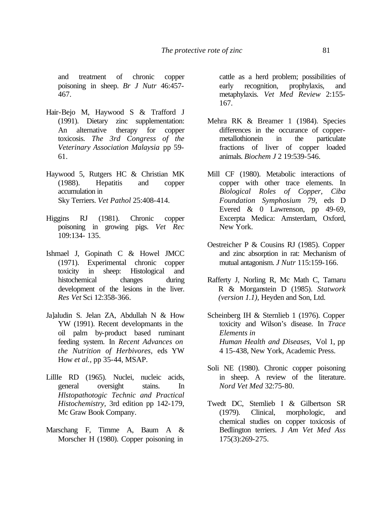and treatment of chronic copper poisoning in sheep. *Br J Nutr* 46:457- 467.

- Hair-Bejo M, Haywood S & Trafford J (1991). Dietary zinc supplementation: An alternative therapy for copper toxicosis. *The 3rd Congress of the Veterinary Association Malaysia* pp 59- 61.
- Haywood 5, Rutgers HC & Christian MK (1988). Hepatitis and copper accumulation in Sky Terriers. *Vet Pathol* 25:408-414.
- Higgins RJ (1981). Chronic copper poisoning in growing pigs. *Vet Rec* 109:134- 135.
- Ishmael J, Gopinath C & Howel JMCC (1971). Experimental chronic copper toxicity in sheep: Histological and histochemical changes during development of the lesions in the liver. *Res Vet* Sci 12:358-366.
- Ja]aludin S. Jelan ZA, Abdullah N & How YW (1991). Recent developmants in the oil palm by-product based ruminant feeding system. In *Recent Advances on the Nutrition of Herbivores,* eds YW How *et al.,* pp 35-44, MSAP.
- LillIe RD (1965). Nuclei, nucleic acids, general oversight stains. In *Hlstopathotogic Technic and Practical Histochemistry,* 3rd edition pp 142-179, Mc Graw Book Company.
- Marschang F, Timme A, Baum A & Morscher H (1980). Copper poisoning in

cattle as a herd problem; possibilities of early recognition, prophylaxis, and metaphylaxis. *Vet Med Review* 2:155- 167.

- Mehra RK & Breamer 1 (1984). Species differences in the occurance of coppermetallothionein in the particulate fractions of liver of copper loaded animals. *Biochem J* 2 19:539-546.
- Mill CF (1980). Metabolic interactions of copper with other trace elements. In *Biological Roles of Copper, Ciba Foundation Symphosium 79,* eds D Evered & 0 Lawrenson, pp 49-69, Excerpta Medica: Amsterdam, Oxford, New York.
- Oestreicher P & Cousins RJ (1985). Copper and zinc absorption in rat: Mechanism of mutual antagonism. *J Nutr* 115:159-166.
- Rafferty J, Norling R, Mc Math C, Tamaru R & Morganstein D (1985). *Statwork (version 1.1),* Heyden and Son, Ltd.
- Scheinberg IH & Sternlieb 1 (1976). Copper toxicity and Wilson's disease. In *Trace Elements in Human Health and Diseases,* Vol 1, pp 4 15-438, New York, Academic Press.
- Soli NE (1980). Chronic copper poisoning in sheep. A review of the literature. *Nord Vet Med* 32:75-80.
- Twedt DC, Stemlieb I & Gilbertson SR (1979). Clinical, morphologic, and chemical studies on copper toxicosis of Bedlington terriers. J *Am Vet Med Ass* 175(3):269-275.